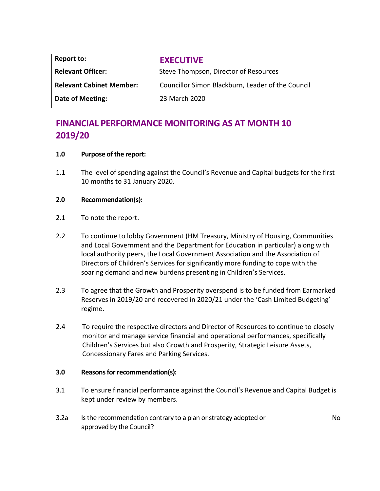| <b>Report to:</b>               | <b>EXECUTIVE</b>                                  |
|---------------------------------|---------------------------------------------------|
| <b>Relevant Officer:</b>        | Steve Thompson, Director of Resources             |
| <b>Relevant Cabinet Member:</b> | Councillor Simon Blackburn, Leader of the Council |
| Date of Meeting:                | 23 March 2020                                     |

# **FINANCIAL PERFORMANCE MONITORING AS AT MONTH 10 2019/20**

## **1.0 Purpose of the report:**

1.1 The level of spending against the Council's Revenue and Capital budgets for the first 10 months to 31 January 2020.

## **2.0 Recommendation(s):**

- 2.1 To note the report.
- 2.2 To continue to lobby Government (HM Treasury, Ministry of Housing, Communities and Local Government and the Department for Education in particular) along with local authority peers, the Local Government Association and the Association of Directors of Children's Services for significantly more funding to cope with the soaring demand and new burdens presenting in Children's Services.
- 2.3 To agree that the Growth and Prosperity overspend is to be funded from Earmarked Reserves in 2019/20 and recovered in 2020/21 under the 'Cash Limited Budgeting' regime.
- 2.4 To require the respective directors and Director of Resources to continue to closely monitor and manage service financial and operational performances, specifically Children's Services but also Growth and Prosperity, Strategic Leisure Assets, Concessionary Fares and Parking Services.

## **3.0 Reasons for recommendation(s):**

- 3.1 To ensure financial performance against the Council's Revenue and Capital Budget is kept under review by members.
- 3.2a Is the recommendation contrary to a plan or strategy adopted or approved by the Council?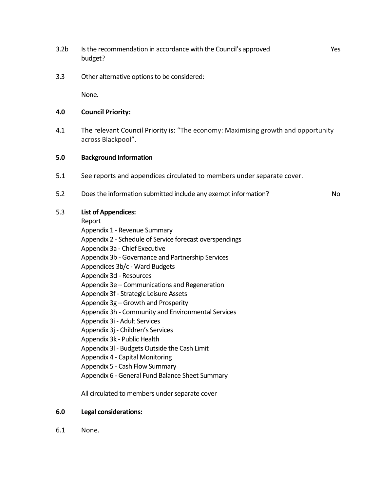- 3.2b Is the recommendation in accordance with the Council's approved budget?
- 3.3 Other alternative options to be considered:

None.

#### **4.0 Council Priority:**

4.1 The relevant Council Priority is: "The economy: Maximising growth and opportunity across Blackpool".

#### **5.0 Background Information**

- 5.1 See reports and appendices circulated to members under separate cover.
- 5.2 Does the information submitted include any exempt information? No

## 5.3 **List of Appendices:**

Report

Appendix 1 - Revenue Summary Appendix 2 - Schedule of Service forecast overspendings Appendix 3a - Chief Executive Appendix 3b - Governance and Partnership Services Appendices 3b/c - Ward Budgets Appendix 3d - Resources Appendix 3e – Communications and Regeneration Appendix 3f - Strategic Leisure Assets Appendix 3g – Growth and Prosperity Appendix 3h - Community and Environmental Services Appendix 3i - Adult Services Appendix 3j - Children's Services Appendix 3k - Public Health Appendix 3l - Budgets Outside the Cash Limit Appendix 4 - Capital Monitoring Appendix 5 - Cash Flow Summary Appendix 6 - General Fund Balance Sheet Summary

All circulated to members under separate cover

#### **6.0 Legal considerations:**

6.1 None.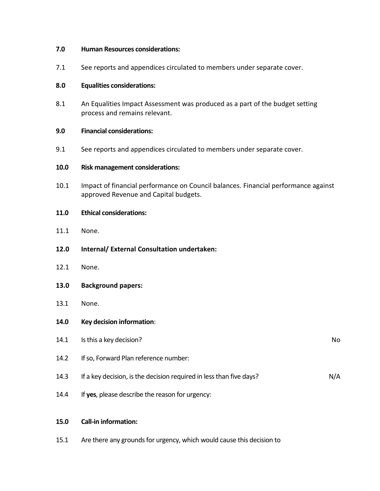#### **7.0 Human Resources considerations:**

7.1 See reports and appendices circulated to members under separate cover.

## **8.0 Equalities considerations:**

8.1 An Equalities Impact Assessment was produced as a part of the budget setting process and remains relevant.

## **9.0 Financial considerations:**

9.1 See reports and appendices circulated to members under separate cover.

### **10.0 Risk management considerations:**

10.1 Impact of financial performance on Council balances. Financial performance against approved Revenue and Capital budgets.

### **11.0 Ethical considerations:**

- 11.1 None.
- **12.0 Internal/ External Consultation undertaken:**
- 12.1 None.
- **13.0 Background papers:**
- 13.1 None.
- **14.0 Key decision information**:
- 14.1 Is this a key decision? No 14.2 If so, Forward Plan reference number: 14.3 If a key decision, is the decision required in less than five days? In the state of N/A 14.4 If **yes**, please describe the reason for urgency:

## **15.0 Call-in information:**

15.1 Are there any grounds for urgency, which would cause this decision to